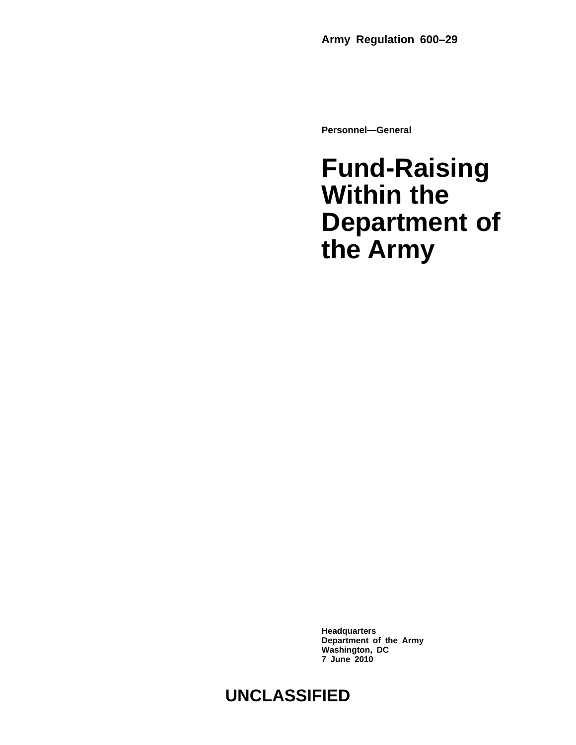**Personnel—General**

## **Fund-Raising Within the Department of the Army**

**Headquarters Department of the Army Washington, DC 7 June 2010**

### **UNCLASSIFIED**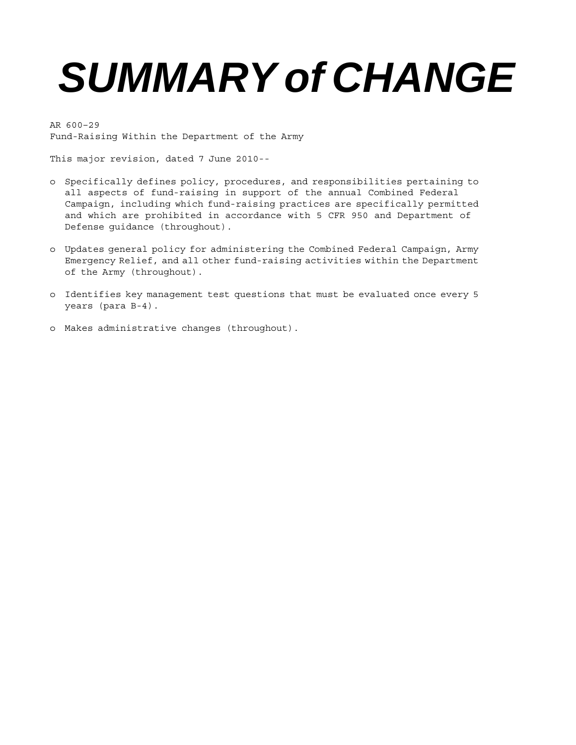# *SUMMARY of CHANGE*

AR 600–29 Fund-Raising Within the Department of the Army

This major revision, dated 7 June 2010--

- o Specifically defines policy, procedures, and responsibilities pertaining to all aspects of fund-raising in support of the annual Combined Federal Campaign, including which fund-raising practices are specifically permitted and which are prohibited in accordance with 5 CFR 950 and Department of Defense guidance (throughout).
- o Updates general policy for administering the Combined Federal Campaign, Army Emergency Relief, and all other fund-raising activities within the Department of the Army (throughout).
- o Identifies key management test questions that must be evaluated once every 5 years (para B-4).
- o Makes administrative changes (throughout).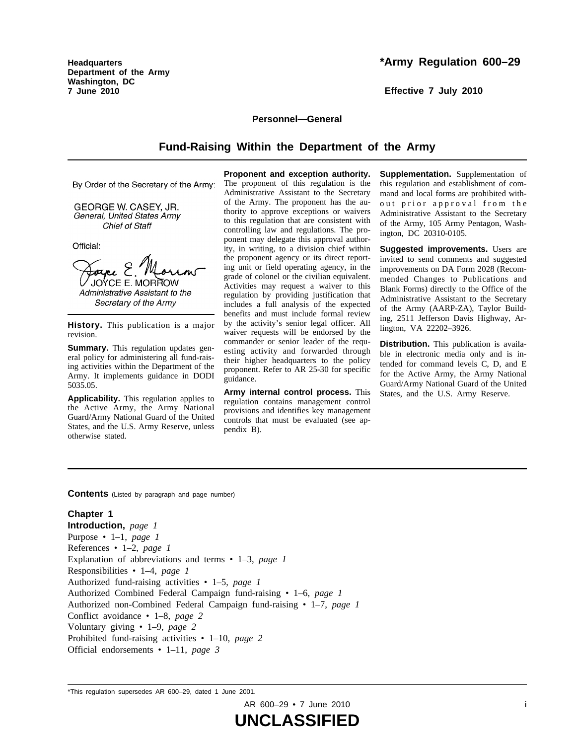**Headquarters Department of the Army Washington, DC 7 June 2010**

#### **\*Army Regulation 600–29**

**Effective 7 July 2010**

#### **Personnel—General**

#### **Fund-Raising Within the Department of the Army**

**Proponent and exception authority.**

By Order of the Secretary of the Army:

GEORGE W. CASEY, JR. General, United States Army Chief of Staff

Official:

Forne E JOYCE E. MORROW Administrative Assistant to the Secretary of the Army

**History.** This publication is a major revision.

**Summary.** This regulation updates general policy for administering all fund-raising activities within the Department of the Army. It implements guidance in DODI 5035.05.

**Applicability.** This regulation applies to the Active Army, the Army National Guard/Army National Guard of the United States, and the U.S. Army Reserve, unless otherwise stated.

The proponent of this regulation is the Administrative Assistant to the Secretary of the Army. The proponent has the authority to approve exceptions or waivers to this regulation that are consistent with controlling law and regulations. The proponent may delegate this approval authority, in writing, to a division chief within the proponent agency or its direct reporting unit or field operating agency, in the grade of colonel or the civilian equivalent. Activities may request a waiver to this regulation by providing justification that includes a full analysis of the expected benefits and must include formal review by the activity's senior legal officer. All waiver requests will be endorsed by the commander or senior leader of the requesting activity and forwarded through their higher headquarters to the policy proponent. Refer to AR 25-30 for specific guidance.

**Army internal control process.** This r egulation contains management control provisions and identifies key management controls that must be evaluated (see appendix B).

**Supplementation.** Supplementation of this regulation and establishment of command and local forms are prohibited without prior approval from the Administrative Assistant to the Secretary of the Army, 105 Army Pentagon, Washington, DC 20310-0105.

**Suggested improvements.** Users are invited to send comments and suggested improvements on DA Form 2028 (Recommended Changes to Publications and Blank Forms) directly to the Office of the Administrative Assistant to the Secretary of the Army (AARP-ZA), Taylor Building, 2511 Jefferson Davis Highway, Arlington, VA 22202–3926.

**Distribution.** This publication is available in electronic media only and is intended for command levels C, D, and E for the Active Army, the Army National Guard/Army National Guard of the United States, and the U.S. Army Reserve.

**Contents** (Listed by paragraph and page number)

#### **Chapter 1**

**Introduction,** *page 1* Purpose • 1–1, *page 1* References • 1–2, *page 1* Explanation of abbreviations and terms • 1–3, *page 1* Responsibilities • 1–4, *page 1* Authorized fund-raising activities • 1–5, *page 1* Authorized Combined Federal Campaign fund-raising • 1–6, *page 1* Authorized non-Combined Federal Campaign fund-raising • 1–7, *page 1* Conflict avoidance • 1–8, *page 2* Voluntary giving • 1–9, *page 2* Prohibited fund-raising activities • 1–10, *page 2* Official endorsements • 1–11, *page 3*

AR 600-29 • 7 June 2010 **i** 

<sup>\*</sup>This regulation supersedes AR 600–29, dated 1 June 2001.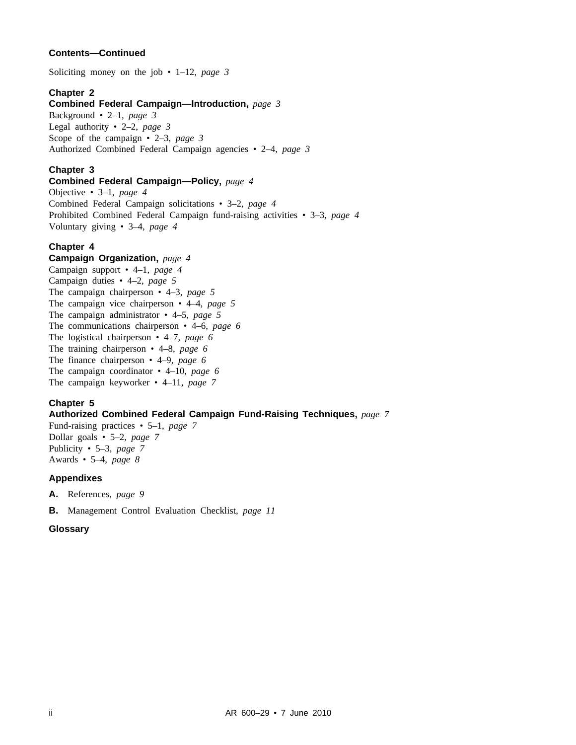#### **Contents—Continued**

Soliciting money on the job • 1–12, *page 3*

#### **Chapter 2**

#### **Combined Federal Campaign—Introduction,** *page 3*

Background • 2–1, *page 3* Legal authority • 2–2, *page 3* Scope of the campaign • 2–3, *page 3* Authorized Combined Federal Campaign agencies • 2–4, *page 3*

#### **Chapter 3**

#### **Combined Federal Campaign—Policy,** *page 4*

Objective • 3–1, *page 4* Combined Federal Campaign solicitations • 3–2, *page 4* Prohibited Combined Federal Campaign fund-raising activities • 3–3, *page 4* Voluntary giving • 3–4, *page 4*

#### **Chapter 4**

#### **Campaign Organization,** *page 4*

Campaign support • 4–1, *page 4* Campaign duties • 4–2, *page 5* The campaign chairperson • 4–3, *page 5* The campaign vice chairperson • 4–4, *page 5* The campaign administrator • 4–5, *page 5* The communications chairperson • 4–6, *page 6* The logistical chairperson • 4–7, *page 6* The training chairperson • 4–8, *page 6* The finance chairperson • 4–9, *page 6* The campaign coordinator • 4–10, *page 6* The campaign keyworker • 4–11, *page 7*

#### **Chapter 5**

#### **Authorized Combined Federal Campaign Fund-Raising Techniques,** *page 7*

Fund-raising practices • 5–1, *page 7* Dollar goals • 5–2, *page 7* Publicity • 5–3, *page 7* Awards • 5–4, *page 8*

#### **Appendixes**

**A.** References, *page 9*

**B.** Management Control Evaluation Checklist, *page 11*

#### **Glossary**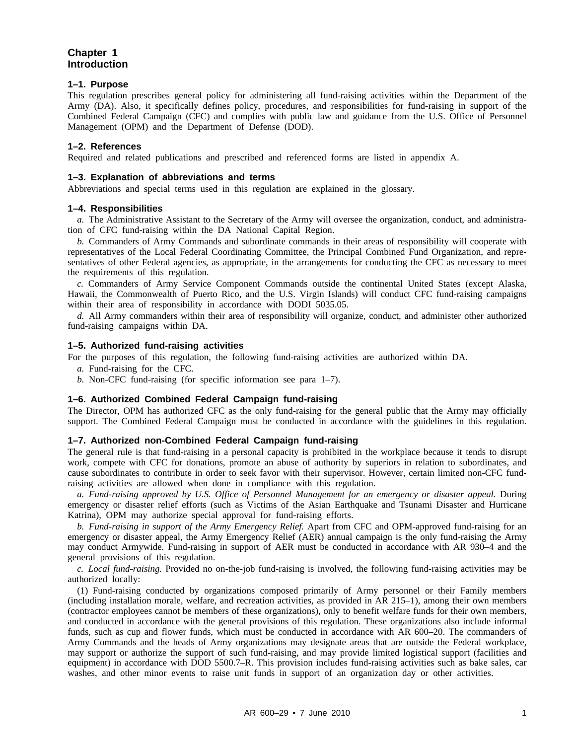#### **Chapter 1 Introduction**

#### **1–1. Purpose**

This regulation prescribes general policy for administering all fund-raising activities within the Department of the Army (DA). Also, it specifically defines policy, procedures, and responsibilities for fund-raising in support of the Combined Federal Campaign (CFC) and complies with public law and guidance from the U.S. Office of Personnel Management (OPM) and the Department of Defense (DOD).

#### **1–2. References**

Required and related publications and prescribed and referenced forms are listed in appendix A.

#### **1–3. Explanation of abbreviations and terms**

Abbreviations and special terms used in this regulation are explained in the glossary.

#### **1–4. Responsibilities**

*a.* The Administrative Assistant to the Secretary of the Army will oversee the organization, conduct, and administration of CFC fund-raising within the DA National Capital Region.

*b.* Commanders of Army Commands and subordinate commands in their areas of responsibility will cooperate with representatives of the Local Federal Coordinating Committee, the Principal Combined Fund Organization, and representatives of other Federal agencies, as appropriate, in the arrangements for conducting the CFC as necessary to meet the requirements of this regulation.

*c.* Commanders of Army Service Component Commands outside the continental United States (except Alaska, Hawaii, the Commonwealth of Puerto Rico, and the U.S. Virgin Islands) will conduct CFC fund-raising campaigns within their area of responsibility in accordance with DODI 5035.05.

*d.* All Army commanders within their area of responsibility will organize, conduct, and administer other authorized fund-raising campaigns within DA.

#### **1–5. Authorized fund-raising activities**

For the purposes of this regulation, the following fund-raising activities are authorized within DA.

*a.* Fund-raising for the CFC.

*b.* Non-CFC fund-raising (for specific information see para 1–7).

#### **1–6. Authorized Combined Federal Campaign fund-raising**

The Director, OPM has authorized CFC as the only fund-raising for the general public that the Army may officially support. The Combined Federal Campaign must be conducted in accordance with the guidelines in this regulation.

#### **1–7. Authorized non-Combined Federal Campaign fund-raising**

The general rule is that fund-raising in a personal capacity is prohibited in the workplace because it tends to disrupt work, compete with CFC for donations, promote an abuse of authority by superiors in relation to subordinates, and cause subordinates to contribute in order to seek favor with their supervisor. However, certain limited non-CFC fundraising activities are allowed when done in compliance with this regulation.

*a. Fund-raising approved by U.S. Office of Personnel Management for an emergency or disaster appeal.* During emergency or disaster relief efforts (such as Victims of the Asian Earthquake and Tsunami Disaster and Hurricane Katrina), OPM may authorize special approval for fund-raising efforts.

*b. Fund-raising in support of the Army Emergency Relief.* Apart from CFC and OPM-approved fund-raising for an emergency or disaster appeal, the Army Emergency Relief (AER) annual campaign is the only fund-raising the Army may conduct Armywide. Fund-raising in support of AER must be conducted in accordance with AR 930–4 and the general provisions of this regulation.

*c. Local fund-raising.* Provided no on-the-job fund-raising is involved, the following fund-raising activities may be authorized locally:

(1) Fund-raising conducted by organizations composed primarily of Army personnel or their Family members (including installation morale, welfare, and recreation activities, as provided in AR 215–1), among their own members (contractor employees cannot be members of these organizations), only to benefit welfare funds for their own members, and conducted in accordance with the general provisions of this regulation. These organizations also include informal funds, such as cup and flower funds, which must be conducted in accordance with AR 600–20. The commanders of Army Commands and the heads of Army organizations may designate areas that are outside the Federal workplace, may support or authorize the support of such fund-raising, and may provide limited logistical support (facilities and equipment) in accordance with DOD 5500.7–R. This provision includes fund-raising activities such as bake sales, car washes, and other minor events to raise unit funds in support of an organization day or other activities.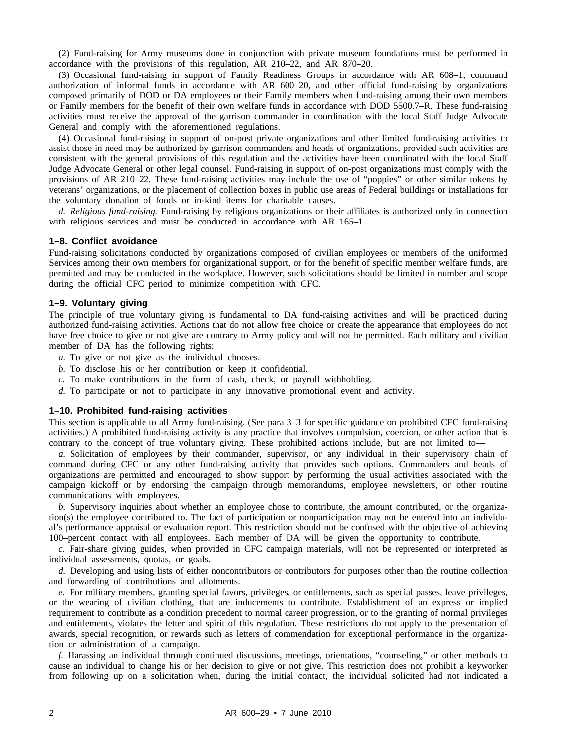(2) Fund-raising for Army museums done in conjunction with private museum foundations must be performed in accordance with the provisions of this regulation, AR 210–22, and AR 870–20.

(3) Occasional fund-raising in support of Family Readiness Groups in accordance with AR 608–1, command authorization of informal funds in accordance with AR 600–20, and other official fund-raising by organizations composed primarily of DOD or DA employees or their Family members when fund-raising among their own members or Family members for the benefit of their own welfare funds in accordance with DOD 5500.7–R. These fund-raising activities must receive the approval of the garrison commander in coordination with the local Staff Judge Advocate General and comply with the aforementioned regulations.

(4) Occasional fund-raising in support of on-post private organizations and other limited fund-raising activities to assist those in need may be authorized by garrison commanders and heads of organizations, provided such activities are consistent with the general provisions of this regulation and the activities have been coordinated with the local Staff Judge Advocate General or other legal counsel. Fund-raising in support of on-post organizations must comply with the provisions of AR 210–22. These fund-raising activities may include the use of "poppies" or other similar tokens by veterans' organizations, or the placement of collection boxes in public use areas of Federal buildings or installations for the voluntary donation of foods or in-kind items for charitable causes.

*d. Religious fund-raising.* Fund-raising by religious organizations or their affiliates is authorized only in connection with religious services and must be conducted in accordance with AR 165–1.

#### **1–8. Conflict avoidance**

Fund-raising solicitations conducted by organizations composed of civilian employees or members of the uniformed Services among their own members for organizational support, or for the benefit of specific member welfare funds, are permitted and may be conducted in the workplace. However, such solicitations should be limited in number and scope during the official CFC period to minimize competition with CFC.

#### **1–9. Voluntary giving**

The principle of true voluntary giving is fundamental to DA fund-raising activities and will be practiced during authorized fund-raising activities. Actions that do not allow free choice or create the appearance that employees do not have free choice to give or not give are contrary to Army policy and will not be permitted. Each military and civilian member of DA has the following rights:

- *a.* To give or not give as the individual chooses.
- *b.* To disclose his or her contribution or keep it confidential.
- *c.* To make contributions in the form of cash, check, or payroll withholding.
- *d.* To participate or not to participate in any innovative promotional event and activity.

#### **1–10. Prohibited fund-raising activities**

This section is applicable to all Army fund-raising. (See para 3–3 for specific guidance on prohibited CFC fund-raising activities.) A prohibited fund-raising activity is any practice that involves compulsion, coercion, or other action that is contrary to the concept of true voluntary giving. These prohibited actions include, but are not limited to—

*a.* Solicitation of employees by their commander, supervisor, or any individual in their supervisory chain of command during CFC or any other fund-raising activity that provides such options. Commanders and heads of organizations are permitted and encouraged to show support by performing the usual activities associated with the campaign kickoff or by endorsing the campaign through memorandums, employee newsletters, or other routine communications with employees.

*b.* Supervisory inquiries about whether an employee chose to contribute, the amount contributed, or the organization(s) the employee contributed to. The fact of participation or nonparticipation may not be entered into an individual's performance appraisal or evaluation report. This restriction should not be confused with the objective of achieving 100–percent contact with all employees. Each member of DA will be given the opportunity to contribute.

*c.* Fair-share giving guides, when provided in CFC campaign materials, will not be represented or interpreted as individual assessments, quotas, or goals.

*d.* Developing and using lists of either noncontributors or contributors for purposes other than the routine collection and forwarding of contributions and allotments.

*e.* For military members, granting special favors, privileges, or entitlements, such as special passes, leave privileges, or the wearing of civilian clothing, that are inducements to contribute. Establishment of an express or implied requirement to contribute as a condition precedent to normal career progression, or to the granting of normal privileges and entitlements, violates the letter and spirit of this regulation. These restrictions do not apply to the presentation of awards, special recognition, or rewards such as letters of commendation for exceptional performance in the organization or administration of a campaign.

*f.* Harassing an individual through continued discussions, meetings, orientations, "counseling," or other methods to cause an individual to change his or her decision to give or not give. This restriction does not prohibit a keyworker from following up on a solicitation when, during the initial contact, the individual solicited had not indicated a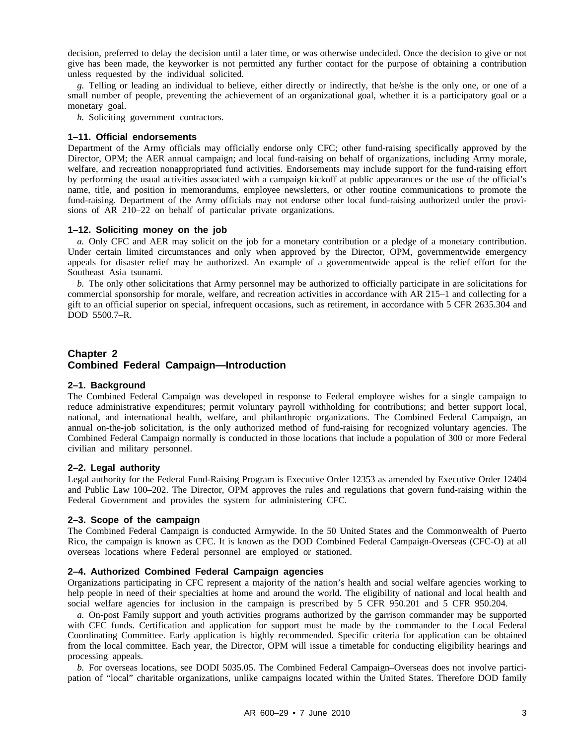decision, preferred to delay the decision until a later time, or was otherwise undecided. Once the decision to give or not give has been made, the keyworker is not permitted any further contact for the purpose of obtaining a contribution unless requested by the individual solicited.

*g.* Telling or leading an individual to believe, either directly or indirectly, that he/she is the only one, or one of a small number of people, preventing the achievement of an organizational goal, whether it is a participatory goal or a monetary goal.

*h.* Soliciting government contractors.

#### **1–11. Official endorsements**

Department of the Army officials may officially endorse only CFC; other fund-raising specifically approved by the Director, OPM; the AER annual campaign; and local fund-raising on behalf of organizations, including Army morale, welfare, and recreation nonappropriated fund activities. Endorsements may include support for the fund-raising effort by performing the usual activities associated with a campaign kickoff at public appearances or the use of the official's name, title, and position in memorandums, employee newsletters, or other routine communications to promote the fund-raising. Department of the Army officials may not endorse other local fund-raising authorized under the provisions of AR 210–22 on behalf of particular private organizations.

#### **1–12. Soliciting money on the job**

*a.* Only CFC and AER may solicit on the job for a monetary contribution or a pledge of a monetary contribution. Under certain limited circumstances and only when approved by the Director, OPM, governmentwide emergency appeals for disaster relief may be authorized. An example of a governmentwide appeal is the relief effort for the Southeast Asia tsunami.

*b.* The only other solicitations that Army personnel may be authorized to officially participate in are solicitations for commercial sponsorship for morale, welfare, and recreation activities in accordance with AR 215–1 and collecting for a gift to an official superior on special, infrequent occasions, such as retirement, in accordance with 5 CFR 2635.304 and DOD 5500.7–R.

#### **Chapter 2 Combined Federal Campaign—Introduction**

#### **2–1. Background**

The Combined Federal Campaign was developed in response to Federal employee wishes for a single campaign to reduce administrative expenditures; permit voluntary payroll withholding for contributions; and better support local, national, and international health, welfare, and philanthropic organizations. The Combined Federal Campaign, an annual on-the-job solicitation, is the only authorized method of fund-raising for recognized voluntary agencies. The Combined Federal Campaign normally is conducted in those locations that include a population of 300 or more Federal civilian and military personnel.

#### **2–2. Legal authority**

Legal authority for the Federal Fund-Raising Program is Executive Order 12353 as amended by Executive Order 12404 and Public Law 100–202. The Director, OPM approves the rules and regulations that govern fund-raising within the Federal Government and provides the system for administering CFC.

#### **2–3. Scope of the campaign**

The Combined Federal Campaign is conducted Armywide. In the 50 United States and the Commonwealth of Puerto Rico, the campaign is known as CFC. It is known as the DOD Combined Federal Campaign-Overseas (CFC-O) at all overseas locations where Federal personnel are employed or stationed.

#### **2–4. Authorized Combined Federal Campaign agencies**

Organizations participating in CFC represent a majority of the nation's health and social welfare agencies working to help people in need of their specialties at home and around the world. The eligibility of national and local health and social welfare agencies for inclusion in the campaign is prescribed by 5 CFR 950.201 and 5 CFR 950.204.

*a.* On-post Family support and youth activities programs authorized by the garrison commander may be supported with CFC funds. Certification and application for support must be made by the commander to the Local Federal Coordinating Committee. Early application is highly recommended. Specific criteria for application can be obtained from the local committee. Each year, the Director, OPM will issue a timetable for conducting eligibility hearings and processing appeals.

*b.* For overseas locations, see DODI 5035.05. The Combined Federal Campaign–Overseas does not involve participation of "local" charitable organizations, unlike campaigns located within the United States. Therefore DOD family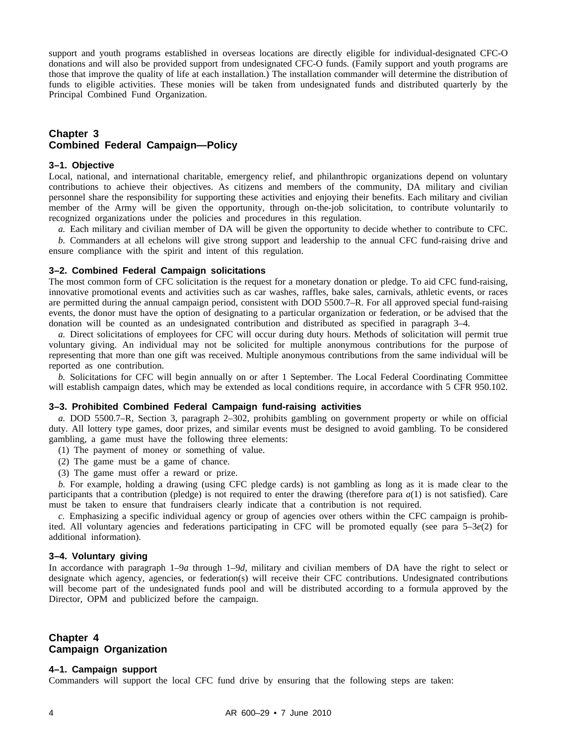support and youth programs established in overseas locations are directly eligible for individual-designated CFC-O donations and will also be provided support from undesignated CFC-O funds. (Family support and youth programs are those that improve the quality of life at each installation.) The installation commander will determine the distribution of funds to eligible activities. These monies will be taken from undesignated funds and distributed quarterly by the Principal Combined Fund Organization.

#### **Chapter 3 Combined Federal Campaign—Policy**

#### **3–1. Objective**

Local, national, and international charitable, emergency relief, and philanthropic organizations depend on voluntary contributions to achieve their objectives. As citizens and members of the community, DA military and civilian personnel share the responsibility for supporting these activities and enjoying their benefits. Each military and civilian member of the Army will be given the opportunity, through on-the-job solicitation, to contribute voluntarily to recognized organizations under the policies and procedures in this regulation.

*a.* Each military and civilian member of DA will be given the opportunity to decide whether to contribute to CFC. *b.* Commanders at all echelons will give strong support and leadership to the annual CFC fund-raising drive and ensure compliance with the spirit and intent of this regulation.

#### **3–2. Combined Federal Campaign solicitations**

The most common form of CFC solicitation is the request for a monetary donation or pledge. To aid CFC fund-raising, innovative promotional events and activities such as car washes, raffles, bake sales, carnivals, athletic events, or races are permitted during the annual campaign period, consistent with DOD 5500.7–R. For all approved special fund-raising events, the donor must have the option of designating to a particular organization or federation, or be advised that the donation will be counted as an undesignated contribution and distributed as specified in paragraph 3–4.

*a.* Direct solicitations of employees for CFC will occur during duty hours. Methods of solicitation will permit true voluntary giving. An individual may not be solicited for multiple anonymous contributions for the purpose of representing that more than one gift was received. Multiple anonymous contributions from the same individual will be reported as one contribution.

*b.* Solicitations for CFC will begin annually on or after 1 September. The Local Federal Coordinating Committee will establish campaign dates, which may be extended as local conditions require, in accordance with 5 CFR 950.102.

#### **3–3. Prohibited Combined Federal Campaign fund-raising activities**

*a.* DOD 5500.7–R, Section 3, paragraph 2–302, prohibits gambling on government property or while on official duty. All lottery type games, door prizes, and similar events must be designed to avoid gambling. To be considered gambling, a game must have the following three elements:

- (1) The payment of money or something of value.
- (2) The game must be a game of chance.
- (3) The game must offer a reward or prize.

*b.* For example, holding a drawing (using CFC pledge cards) is not gambling as long as it is made clear to the participants that a contribution (pledge) is not required to enter the drawing (therefore para *a*(1) is not satisfied). Care must be taken to ensure that fundraisers clearly indicate that a contribution is not required.

*c.* Emphasizing a specific individual agency or group of agencies over others within the CFC campaign is prohibited. All voluntary agencies and federations participating in CFC will be promoted equally (see para 5–3*e*(2) for additional information).

#### **3–4. Voluntary giving**

In accordance with paragraph 1–9*a* through 1–9*d*, military and civilian members of DA have the right to select or designate which agency, agencies, or federation(s) will receive their CFC contributions. Undesignated contributions will become part of the undesignated funds pool and will be distributed according to a formula approved by the Director, OPM and publicized before the campaign.

#### **Chapter 4 Campaign Organization**

#### **4–1. Campaign support**

Commanders will support the local CFC fund drive by ensuring that the following steps are taken: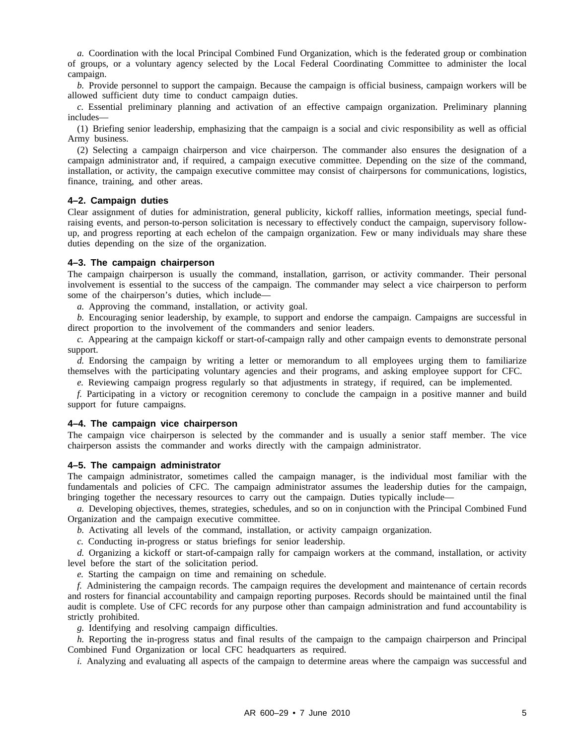*a.* Coordination with the local Principal Combined Fund Organization, which is the federated group or combination of groups, or a voluntary agency selected by the Local Federal Coordinating Committee to administer the local campaign.

*b.* Provide personnel to support the campaign. Because the campaign is official business, campaign workers will be allowed sufficient duty time to conduct campaign duties.

*c.* Essential preliminary planning and activation of an effective campaign organization. Preliminary planning includes—

(1) Briefing senior leadership, emphasizing that the campaign is a social and civic responsibility as well as official Army business.

(2) Selecting a campaign chairperson and vice chairperson. The commander also ensures the designation of a campaign administrator and, if required, a campaign executive committee. Depending on the size of the command, installation, or activity, the campaign executive committee may consist of chairpersons for communications, logistics, finance, training, and other areas.

#### **4–2. Campaign duties**

Clear assignment of duties for administration, general publicity, kickoff rallies, information meetings, special fundraising events, and person-to-person solicitation is necessary to effectively conduct the campaign, supervisory followup, and progress reporting at each echelon of the campaign organization. Few or many individuals may share these duties depending on the size of the organization.

#### **4–3. The campaign chairperson**

The campaign chairperson is usually the command, installation, garrison, or activity commander. Their personal involvement is essential to the success of the campaign. The commander may select a vice chairperson to perform some of the chairperson's duties, which include—

*a.* Approving the command, installation, or activity goal.

*b.* Encouraging senior leadership, by example, to support and endorse the campaign. Campaigns are successful in direct proportion to the involvement of the commanders and senior leaders.

*c.* Appearing at the campaign kickoff or start-of-campaign rally and other campaign events to demonstrate personal support.

*d.* Endorsing the campaign by writing a letter or memorandum to all employees urging them to familiarize themselves with the participating voluntary agencies and their programs, and asking employee support for CFC.

*e.* Reviewing campaign progress regularly so that adjustments in strategy, if required, can be implemented.

*f.* Participating in a victory or recognition ceremony to conclude the campaign in a positive manner and build support for future campaigns.

#### **4–4. The campaign vice chairperson**

The campaign vice chairperson is selected by the commander and is usually a senior staff member. The vice chairperson assists the commander and works directly with the campaign administrator.

#### **4–5. The campaign administrator**

The campaign administrator, sometimes called the campaign manager, is the individual most familiar with the fundamentals and policies of CFC. The campaign administrator assumes the leadership duties for the campaign, bringing together the necessary resources to carry out the campaign. Duties typically include—

*a.* Developing objectives, themes, strategies, schedules, and so on in conjunction with the Principal Combined Fund Organization and the campaign executive committee.

*b.* Activating all levels of the command, installation, or activity campaign organization.

*c.* Conducting in-progress or status briefings for senior leadership.

*d.* Organizing a kickoff or start-of-campaign rally for campaign workers at the command, installation, or activity level before the start of the solicitation period.

*e.* Starting the campaign on time and remaining on schedule.

*f.* Administering the campaign records. The campaign requires the development and maintenance of certain records and rosters for financial accountability and campaign reporting purposes. Records should be maintained until the final audit is complete. Use of CFC records for any purpose other than campaign administration and fund accountability is strictly prohibited.

*g.* Identifying and resolving campaign difficulties.

*h.* Reporting the in-progress status and final results of the campaign to the campaign chairperson and Principal Combined Fund Organization or local CFC headquarters as required.

*i.* Analyzing and evaluating all aspects of the campaign to determine areas where the campaign was successful and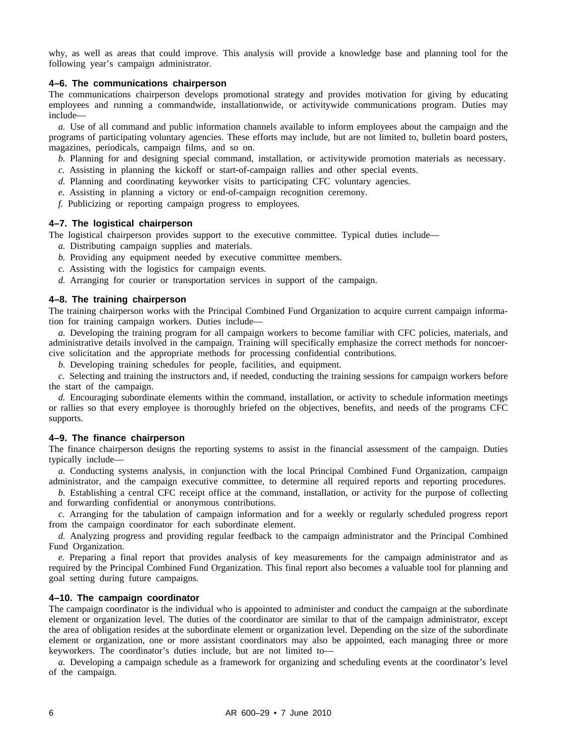why, as well as areas that could improve. This analysis will provide a knowledge base and planning tool for the following year's campaign administrator.

#### **4–6. The communications chairperson**

The communications chairperson develops promotional strategy and provides motivation for giving by educating employees and running a commandwide, installationwide, or activitywide communications program. Duties may include—

*a.* Use of all command and public information channels available to inform employees about the campaign and the programs of participating voluntary agencies. These efforts may include, but are not limited to, bulletin board posters, magazines, periodicals, campaign films, and so on.

*b.* Planning for and designing special command, installation, or activitywide promotion materials as necessary.

- *c.* Assisting in planning the kickoff or start-of-campaign rallies and other special events.
- *d.* Planning and coordinating keyworker visits to participating CFC voluntary agencies.
- *e.* Assisting in planning a victory or end-of-campaign recognition ceremony.

*f.* Publicizing or reporting campaign progress to employees.

#### **4–7. The logistical chairperson**

The logistical chairperson provides support to the executive committee. Typical duties include—

- *a.* Distributing campaign supplies and materials.
- *b.* Providing any equipment needed by executive committee members.
- *c.* Assisting with the logistics for campaign events.
- *d.* Arranging for courier or transportation services in support of the campaign.

#### **4–8. The training chairperson**

The training chairperson works with the Principal Combined Fund Organization to acquire current campaign information for training campaign workers. Duties include—

*a.* Developing the training program for all campaign workers to become familiar with CFC policies, materials, and administrative details involved in the campaign. Training will specifically emphasize the correct methods for noncoercive solicitation and the appropriate methods for processing confidential contributions.

*b.* Developing training schedules for people, facilities, and equipment.

*c.* Selecting and training the instructors and, if needed, conducting the training sessions for campaign workers before the start of the campaign.

*d.* Encouraging subordinate elements within the command, installation, or activity to schedule information meetings or rallies so that every employee is thoroughly briefed on the objectives, benefits, and needs of the programs CFC supports.

#### **4–9. The finance chairperson**

The finance chairperson designs the reporting systems to assist in the financial assessment of the campaign. Duties typically include—

*a.* Conducting systems analysis, in conjunction with the local Principal Combined Fund Organization, campaign administrator, and the campaign executive committee, to determine all required reports and reporting procedures.

*b.* Establishing a central CFC receipt office at the command, installation, or activity for the purpose of collecting and forwarding confidential or anonymous contributions.

*c.* Arranging for the tabulation of campaign information and for a weekly or regularly scheduled progress report from the campaign coordinator for each subordinate element.

*d.* Analyzing progress and providing regular feedback to the campaign administrator and the Principal Combined Fund Organization.

*e.* Preparing a final report that provides analysis of key measurements for the campaign administrator and as required by the Principal Combined Fund Organization. This final report also becomes a valuable tool for planning and goal setting during future campaigns.

#### **4–10. The campaign coordinator**

The campaign coordinator is the individual who is appointed to administer and conduct the campaign at the subordinate element or organization level. The duties of the coordinator are similar to that of the campaign administrator, except the area of obligation resides at the subordinate element or organization level. Depending on the size of the subordinate element or organization, one or more assistant coordinators may also be appointed, each managing three or more keyworkers. The coordinator's duties include, but are not limited to—

*a.* Developing a campaign schedule as a framework for organizing and scheduling events at the coordinator's level of the campaign.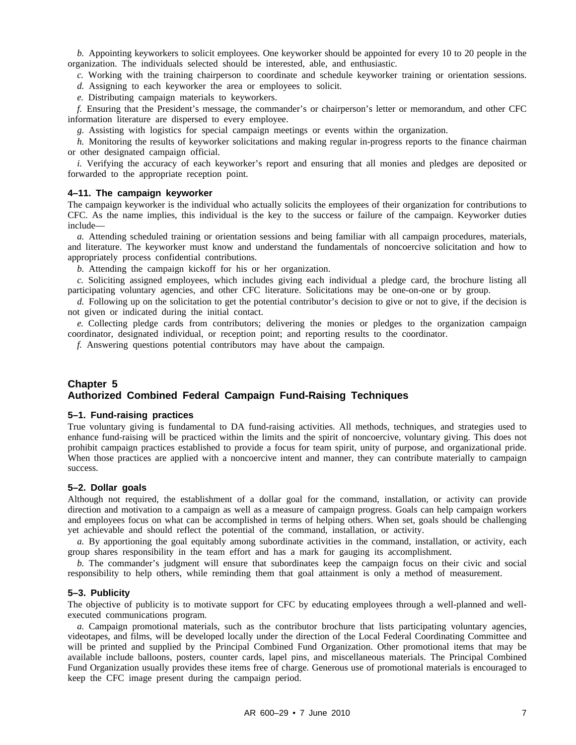*b.* Appointing keyworkers to solicit employees. One keyworker should be appointed for every 10 to 20 people in the organization. The individuals selected should be interested, able, and enthusiastic.

*c.* Working with the training chairperson to coordinate and schedule keyworker training or orientation sessions.

*d.* Assigning to each keyworker the area or employees to solicit.

*e.* Distributing campaign materials to keyworkers.

*f.* Ensuring that the President's message, the commander's or chairperson's letter or memorandum, and other CFC information literature are dispersed to every employee.

*g.* Assisting with logistics for special campaign meetings or events within the organization.

*h.* Monitoring the results of keyworker solicitations and making regular in-progress reports to the finance chairman or other designated campaign official.

*i.* Verifying the accuracy of each keyworker's report and ensuring that all monies and pledges are deposited or forwarded to the appropriate reception point.

#### **4–11. The campaign keyworker**

The campaign keyworker is the individual who actually solicits the employees of their organization for contributions to CFC. As the name implies, this individual is the key to the success or failure of the campaign. Keyworker duties include—

*a.* Attending scheduled training or orientation sessions and being familiar with all campaign procedures, materials, and literature. The keyworker must know and understand the fundamentals of noncoercive solicitation and how to appropriately process confidential contributions.

*b.* Attending the campaign kickoff for his or her organization.

*c.* Soliciting assigned employees, which includes giving each individual a pledge card, the brochure listing all participating voluntary agencies, and other CFC literature. Solicitations may be one-on-one or by group.

*d.* Following up on the solicitation to get the potential contributor's decision to give or not to give, if the decision is not given or indicated during the initial contact.

*e.* Collecting pledge cards from contributors; delivering the monies or pledges to the organization campaign coordinator, designated individual, or reception point; and reporting results to the coordinator.

*f.* Answering questions potential contributors may have about the campaign.

#### **Chapter 5 Authorized Combined Federal Campaign Fund-Raising Techniques**

#### **5–1. Fund-raising practices**

True voluntary giving is fundamental to DA fund-raising activities. All methods, techniques, and strategies used to enhance fund-raising will be practiced within the limits and the spirit of noncoercive, voluntary giving. This does not prohibit campaign practices established to provide a focus for team spirit, unity of purpose, and organizational pride. When those practices are applied with a noncoercive intent and manner, they can contribute materially to campaign success.

#### **5–2. Dollar goals**

Although not required, the establishment of a dollar goal for the command, installation, or activity can provide direction and motivation to a campaign as well as a measure of campaign progress. Goals can help campaign workers and employees focus on what can be accomplished in terms of helping others. When set, goals should be challenging yet achievable and should reflect the potential of the command, installation, or activity.

*a.* By apportioning the goal equitably among subordinate activities in the command, installation, or activity, each group shares responsibility in the team effort and has a mark for gauging its accomplishment.

*b.* The commander's judgment will ensure that subordinates keep the campaign focus on their civic and social responsibility to help others, while reminding them that goal attainment is only a method of measurement.

#### **5–3. Publicity**

The objective of publicity is to motivate support for CFC by educating employees through a well-planned and wellexecuted communications program.

*a.* Campaign promotional materials, such as the contributor brochure that lists participating voluntary agencies, videotapes, and films, will be developed locally under the direction of the Local Federal Coordinating Committee and will be printed and supplied by the Principal Combined Fund Organization. Other promotional items that may be available include balloons, posters, counter cards, lapel pins, and miscellaneous materials. The Principal Combined Fund Organization usually provides these items free of charge. Generous use of promotional materials is encouraged to keep the CFC image present during the campaign period.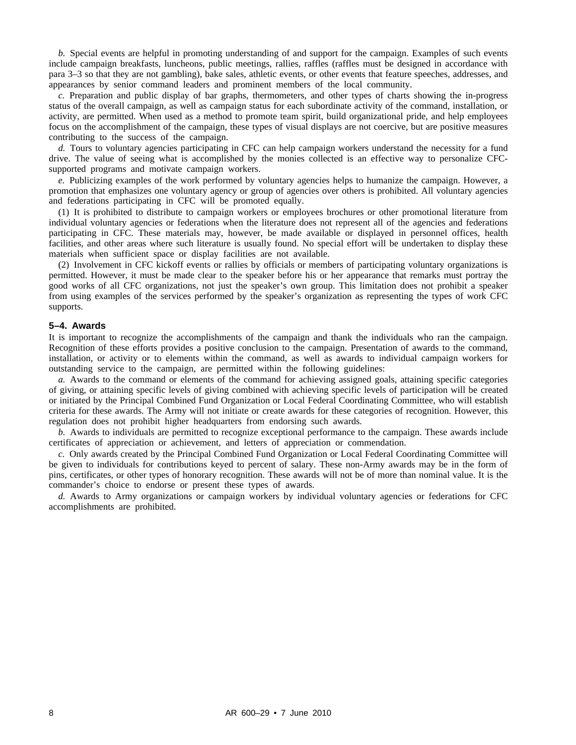*b.* Special events are helpful in promoting understanding of and support for the campaign. Examples of such events include campaign breakfasts, luncheons, public meetings, rallies, raffles (raffles must be designed in accordance with para 3–3 so that they are not gambling), bake sales, athletic events, or other events that feature speeches, addresses, and appearances by senior command leaders and prominent members of the local community.

*c.* Preparation and public display of bar graphs, thermometers, and other types of charts showing the in-progress status of the overall campaign, as well as campaign status for each subordinate activity of the command, installation, or activity, are permitted. When used as a method to promote team spirit, build organizational pride, and help employees focus on the accomplishment of the campaign, these types of visual displays are not coercive, but are positive measures contributing to the success of the campaign.

*d.* Tours to voluntary agencies participating in CFC can help campaign workers understand the necessity for a fund drive. The value of seeing what is accomplished by the monies collected is an effective way to personalize CFCsupported programs and motivate campaign workers.

*e.* Publicizing examples of the work performed by voluntary agencies helps to humanize the campaign. However, a promotion that emphasizes one voluntary agency or group of agencies over others is prohibited. All voluntary agencies and federations participating in CFC will be promoted equally.

(1) It is prohibited to distribute to campaign workers or employees brochures or other promotional literature from individual voluntary agencies or federations when the literature does not represent all of the agencies and federations participating in CFC. These materials may, however, be made available or displayed in personnel offices, health facilities, and other areas where such literature is usually found. No special effort will be undertaken to display these materials when sufficient space or display facilities are not available.

(2) Involvement in CFC kickoff events or rallies by officials or members of participating voluntary organizations is permitted. However, it must be made clear to the speaker before his or her appearance that remarks must portray the good works of all CFC organizations, not just the speaker's own group. This limitation does not prohibit a speaker from using examples of the services performed by the speaker's organization as representing the types of work CFC supports.

#### **5–4. Awards**

It is important to recognize the accomplishments of the campaign and thank the individuals who ran the campaign. Recognition of these efforts provides a positive conclusion to the campaign. Presentation of awards to the command, installation, or activity or to elements within the command, as well as awards to individual campaign workers for outstanding service to the campaign, are permitted within the following guidelines:

*a.* Awards to the command or elements of the command for achieving assigned goals, attaining specific categories of giving, or attaining specific levels of giving combined with achieving specific levels of participation will be created or initiated by the Principal Combined Fund Organization or Local Federal Coordinating Committee, who will establish criteria for these awards. The Army will not initiate or create awards for these categories of recognition. However, this regulation does not prohibit higher headquarters from endorsing such awards.

*b.* Awards to individuals are permitted to recognize exceptional performance to the campaign. These awards include certificates of appreciation or achievement, and letters of appreciation or commendation.

*c.* Only awards created by the Principal Combined Fund Organization or Local Federal Coordinating Committee will be given to individuals for contributions keyed to percent of salary. These non-Army awards may be in the form of pins, certificates, or other types of honorary recognition. These awards will not be of more than nominal value. It is the commander's choice to endorse or present these types of awards.

*d.* Awards to Army organizations or campaign workers by individual voluntary agencies or federations for CFC accomplishments are prohibited.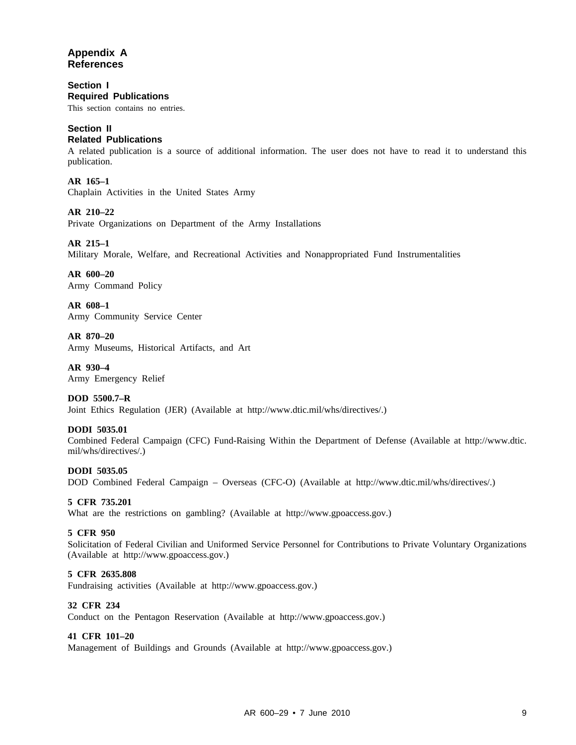#### **Appendix A References**

**Section I Required Publications**

This section contains no entries.

#### **Section II**

#### **Related Publications**

A related publication is a source of additional information. The user does not have to read it to understand this publication.

**AR 165–1**

Chaplain Activities in the United States Army

#### **AR 210–22**

Private Organizations on Department of the Army Installations

#### **AR 215–1**

Military Morale, Welfare, and Recreational Activities and Nonappropriated Fund Instrumentalities

**AR 600–20** Army Command Policy

**AR 608–1** Army Community Service Center

**AR 870–20** Army Museums, Historical Artifacts, and Art

**AR 930–4** Army Emergency Relief

**DOD 5500.7–R** Joint Ethics Regulation (JER) (Available at http://www.dtic.mil/whs/directives/.)

#### **DODI 5035.01**

Combined Federal Campaign (CFC) Fund-Raising Within the Department of Defense (Available at http://www.dtic. mil/whs/directives/.)

#### **DODI 5035.05**

DOD Combined Federal Campaign – Overseas (CFC-O) (Available at http://www.dtic.mil/whs/directives/.)

#### **5 CFR 735.201**

What are the restrictions on gambling? (Available at http://www.gpoaccess.gov.)

#### **5 CFR 950**

Solicitation of Federal Civilian and Uniformed Service Personnel for Contributions to Private Voluntary Organizations (Available at http://www.gpoaccess.gov.)

#### **5 CFR 2635.808**

Fundraising activities (Available at http://www.gpoaccess.gov.)

#### **32 CFR 234**

Conduct on the Pentagon Reservation (Available at http://www.gpoaccess.gov.)

#### **41 CFR 101–20**

Management of Buildings and Grounds (Available at http://www.gpoaccess.gov.)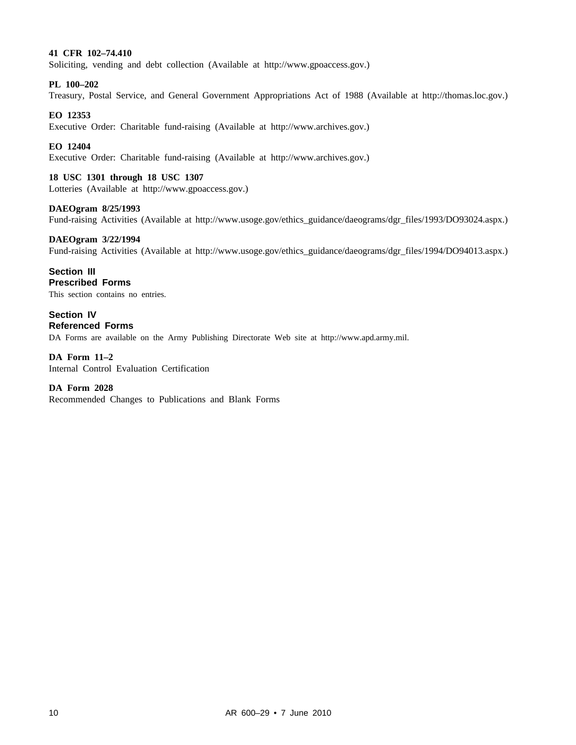#### **41 CFR 102–74.410**

Soliciting, vending and debt collection (Available at http://www.gpoaccess.gov.)

#### **PL 100–202**

Treasury, Postal Service, and General Government Appropriations Act of 1988 (Available at http://thomas.loc.gov.)

#### **EO 12353**

Executive Order: Charitable fund-raising (Available at http://www.archives.gov.)

#### **EO 12404**

Executive Order: Charitable fund-raising (Available at http://www.archives.gov.)

#### **18 USC 1301 through 18 USC 1307**

Lotteries (Available at http://www.gpoaccess.gov.)

#### **DAEOgram 8/25/1993**

Fund-raising Activities (Available at http://www.usoge.gov/ethics\_guidance/daeograms/dgr\_files/1993/DO93024.aspx.)

#### **DAEOgram 3/22/1994**

Fund-raising Activities (Available at http://www.usoge.gov/ethics\_guidance/daeograms/dgr\_files/1994/DO94013.aspx.)

#### **Section III**

**Prescribed Forms**

This section contains no entries.

**Section IV Referenced Forms** DA Forms are available on the Army Publishing Directorate Web site at http://www.apd.army.mil.

**DA Form 11–2** Internal Control Evaluation Certification

#### **DA Form 2028**

Recommended Changes to Publications and Blank Forms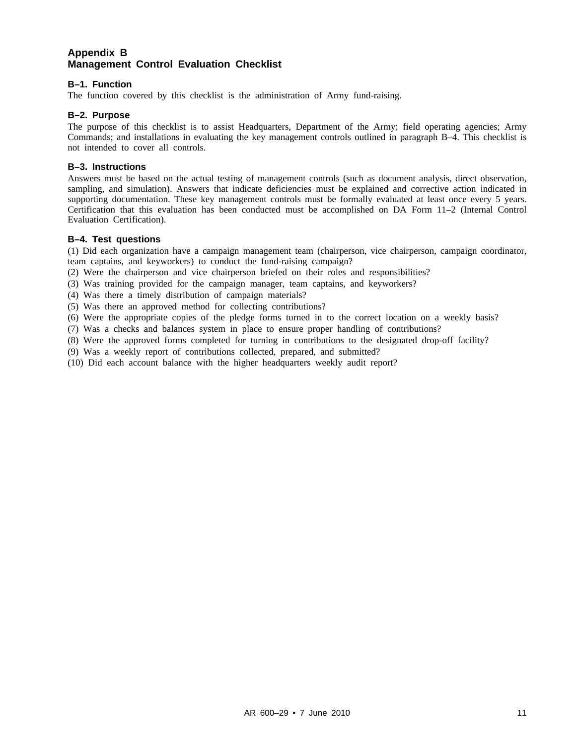#### **Appendix B Management Control Evaluation Checklist**

#### **B–1. Function**

The function covered by this checklist is the administration of Army fund-raising.

#### **B–2. Purpose**

The purpose of this checklist is to assist Headquarters, Department of the Army; field operating agencies; Army Commands; and installations in evaluating the key management controls outlined in paragraph B–4. This checklist is not intended to cover all controls.

#### **B–3. Instructions**

Answers must be based on the actual testing of management controls (such as document analysis, direct observation, sampling, and simulation). Answers that indicate deficiencies must be explained and corrective action indicated in supporting documentation. These key management controls must be formally evaluated at least once every 5 years. Certification that this evaluation has been conducted must be accomplished on DA Form 11–2 (Internal Control Evaluation Certification).

#### **B–4. Test questions**

(1) Did each organization have a campaign management team (chairperson, vice chairperson, campaign coordinator, team captains, and keyworkers) to conduct the fund-raising campaign?

- (2) Were the chairperson and vice chairperson briefed on their roles and responsibilities?
- (3) Was training provided for the campaign manager, team captains, and keyworkers?
- (4) Was there a timely distribution of campaign materials?
- (5) Was there an approved method for collecting contributions?
- (6) Were the appropriate copies of the pledge forms turned in to the correct location on a weekly basis?
- (7) Was a checks and balances system in place to ensure proper handling of contributions?
- (8) Were the approved forms completed for turning in contributions to the designated drop-off facility?
- (9) Was a weekly report of contributions collected, prepared, and submitted?
- (10) Did each account balance with the higher headquarters weekly audit report?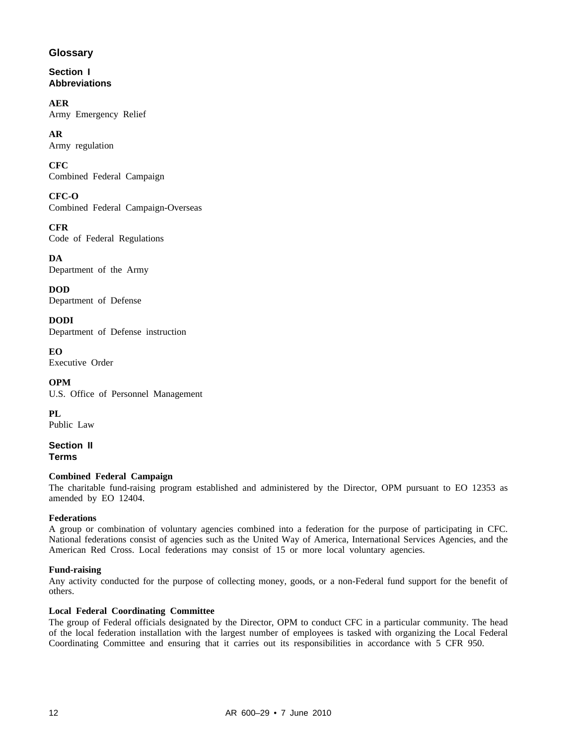#### **Glossary**

**Section I Abbreviations**

**AER** Army Emergency Relief

**AR** Army regulation

**CFC** Combined Federal Campaign

**CFC-O** Combined Federal Campaign-Overseas

**CFR** Code of Federal Regulations

**DA** Department of the Army

**DOD** Department of Defense

**DODI** Department of Defense instruction

**EO** Executive Order

**OPM** U.S. Office of Personnel Management

**PL** Public Law

**Section II Terms**

#### **Combined Federal Campaign**

The charitable fund-raising program established and administered by the Director, OPM pursuant to EO 12353 as amended by EO 12404.

#### **Federations**

A group or combination of voluntary agencies combined into a federation for the purpose of participating in CFC. National federations consist of agencies such as the United Way of America, International Services Agencies, and the American Red Cross. Local federations may consist of 15 or more local voluntary agencies.

#### **Fund-raising**

Any activity conducted for the purpose of collecting money, goods, or a non-Federal fund support for the benefit of others.

#### **Local Federal Coordinating Committee**

The group of Federal officials designated by the Director, OPM to conduct CFC in a particular community. The head of the local federation installation with the largest number of employees is tasked with organizing the Local Federal Coordinating Committee and ensuring that it carries out its responsibilities in accordance with 5 CFR 950.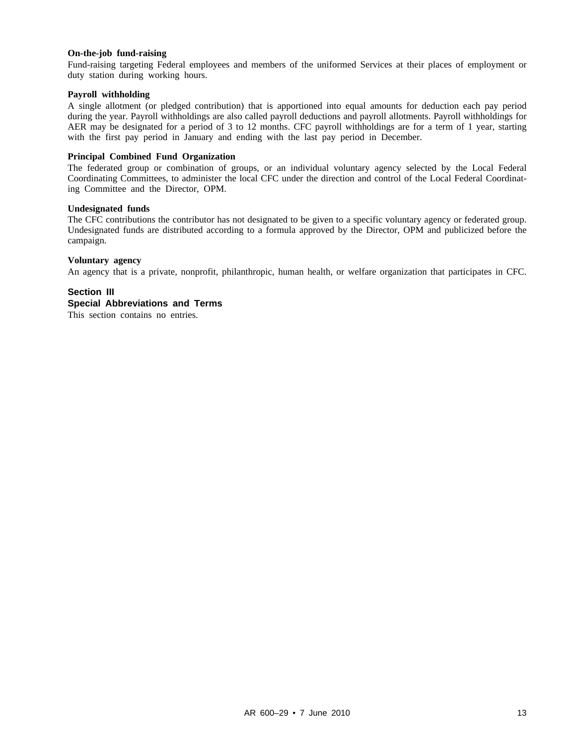#### **On-the-job fund-raising**

Fund-raising targeting Federal employees and members of the uniformed Services at their places of employment or duty station during working hours.

#### **Payroll withholding**

A single allotment (or pledged contribution) that is apportioned into equal amounts for deduction each pay period during the year. Payroll withholdings are also called payroll deductions and payroll allotments. Payroll withholdings for AER may be designated for a period of 3 to 12 months. CFC payroll withholdings are for a term of 1 year, starting with the first pay period in January and ending with the last pay period in December.

#### **Principal Combined Fund Organization**

The federated group or combination of groups, or an individual voluntary agency selected by the Local Federal Coordinating Committees, to administer the local CFC under the direction and control of the Local Federal Coordinating Committee and the Director, OPM.

#### **Undesignated funds**

The CFC contributions the contributor has not designated to be given to a specific voluntary agency or federated group. Undesignated funds are distributed according to a formula approved by the Director, OPM and publicized before the campaign.

#### **Voluntary agency**

An agency that is a private, nonprofit, philanthropic, human health, or welfare organization that participates in CFC.

#### **Section III Special Abbreviations and Terms**

This section contains no entries.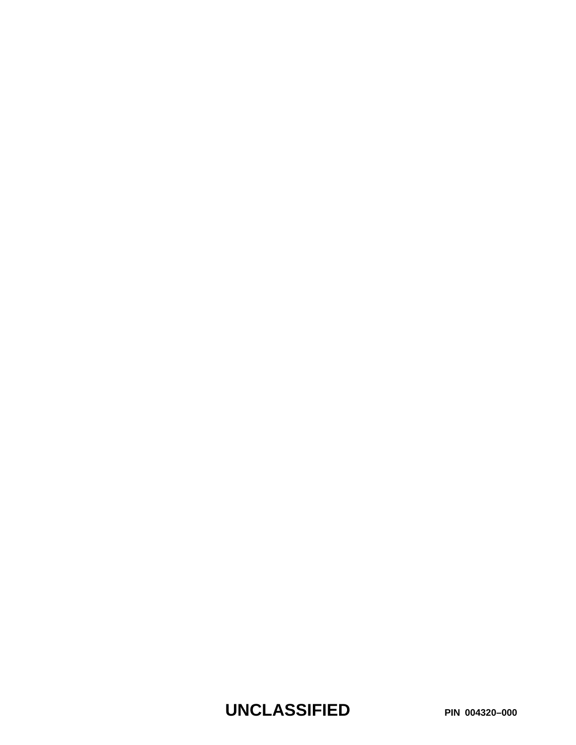**UNCLASSIFIED PIN 004320–000**